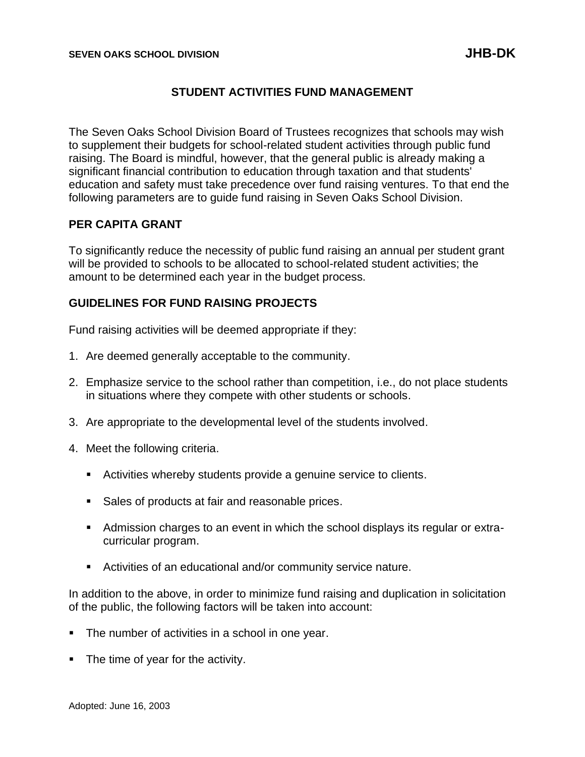# **STUDENT ACTIVITIES FUND MANAGEMENT**

The Seven Oaks School Division Board of Trustees recognizes that schools may wish to supplement their budgets for school-related student activities through public fund raising. The Board is mindful, however, that the general public is already making a significant financial contribution to education through taxation and that students' education and safety must take precedence over fund raising ventures. To that end the following parameters are to guide fund raising in Seven Oaks School Division.

## **PER CAPITA GRANT**

To significantly reduce the necessity of public fund raising an annual per student grant will be provided to schools to be allocated to school-related student activities; the amount to be determined each year in the budget process.

## **GUIDELINES FOR FUND RAISING PROJECTS**

Fund raising activities will be deemed appropriate if they:

- 1. Are deemed generally acceptable to the community.
- 2. Emphasize service to the school rather than competition, i.e., do not place students in situations where they compete with other students or schools.
- 3. Are appropriate to the developmental level of the students involved.
- 4. Meet the following criteria.
	- Activities whereby students provide a genuine service to clients.
	- Sales of products at fair and reasonable prices.
	- Admission charges to an event in which the school displays its regular or extracurricular program.
	- Activities of an educational and/or community service nature.

In addition to the above, in order to minimize fund raising and duplication in solicitation of the public, the following factors will be taken into account:

- The number of activities in a school in one year.
- The time of year for the activity.